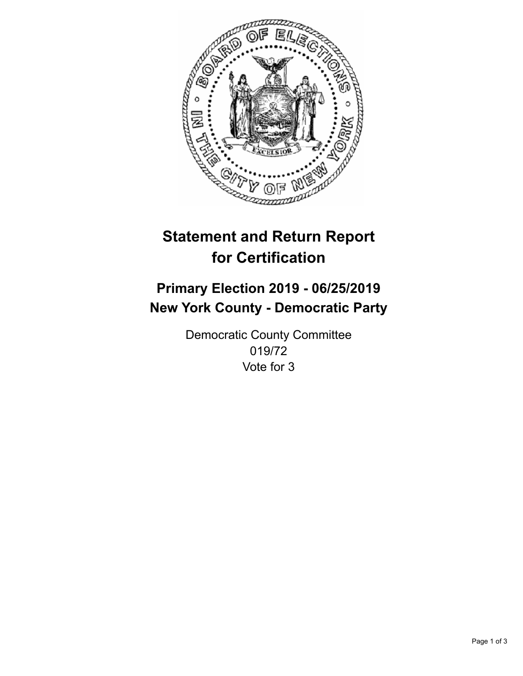

## **Statement and Return Report for Certification**

## **Primary Election 2019 - 06/25/2019 New York County - Democratic Party**

Democratic County Committee 019/72 Vote for 3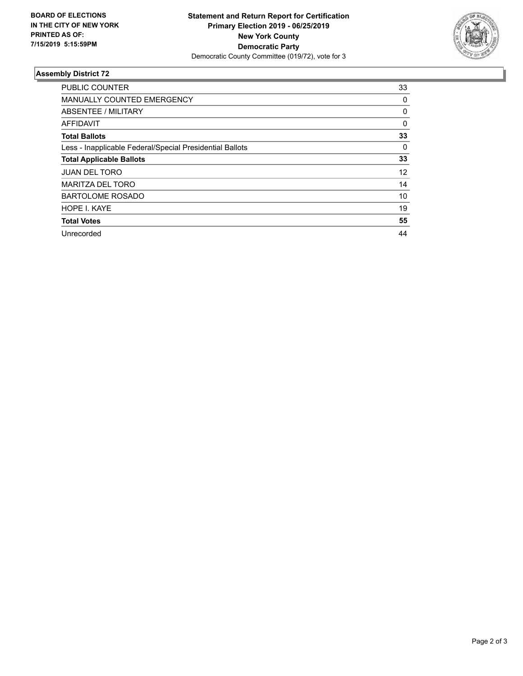

## **Assembly District 72**

| <b>PUBLIC COUNTER</b>                                    | 33       |
|----------------------------------------------------------|----------|
| <b>MANUALLY COUNTED EMERGENCY</b>                        | 0        |
| ABSENTEE / MILITARY                                      | 0        |
| <b>AFFIDAVIT</b>                                         | $\Omega$ |
| <b>Total Ballots</b>                                     | 33       |
| Less - Inapplicable Federal/Special Presidential Ballots | 0        |
| <b>Total Applicable Ballots</b>                          | 33       |
| <b>JUAN DEL TORO</b>                                     | 12       |
| <b>MARITZA DEL TORO</b>                                  | 14       |
| <b>BARTOLOME ROSADO</b>                                  | 10       |
| HOPE I. KAYE                                             | 19       |
| <b>Total Votes</b>                                       | 55       |
| Unrecorded                                               | 44       |